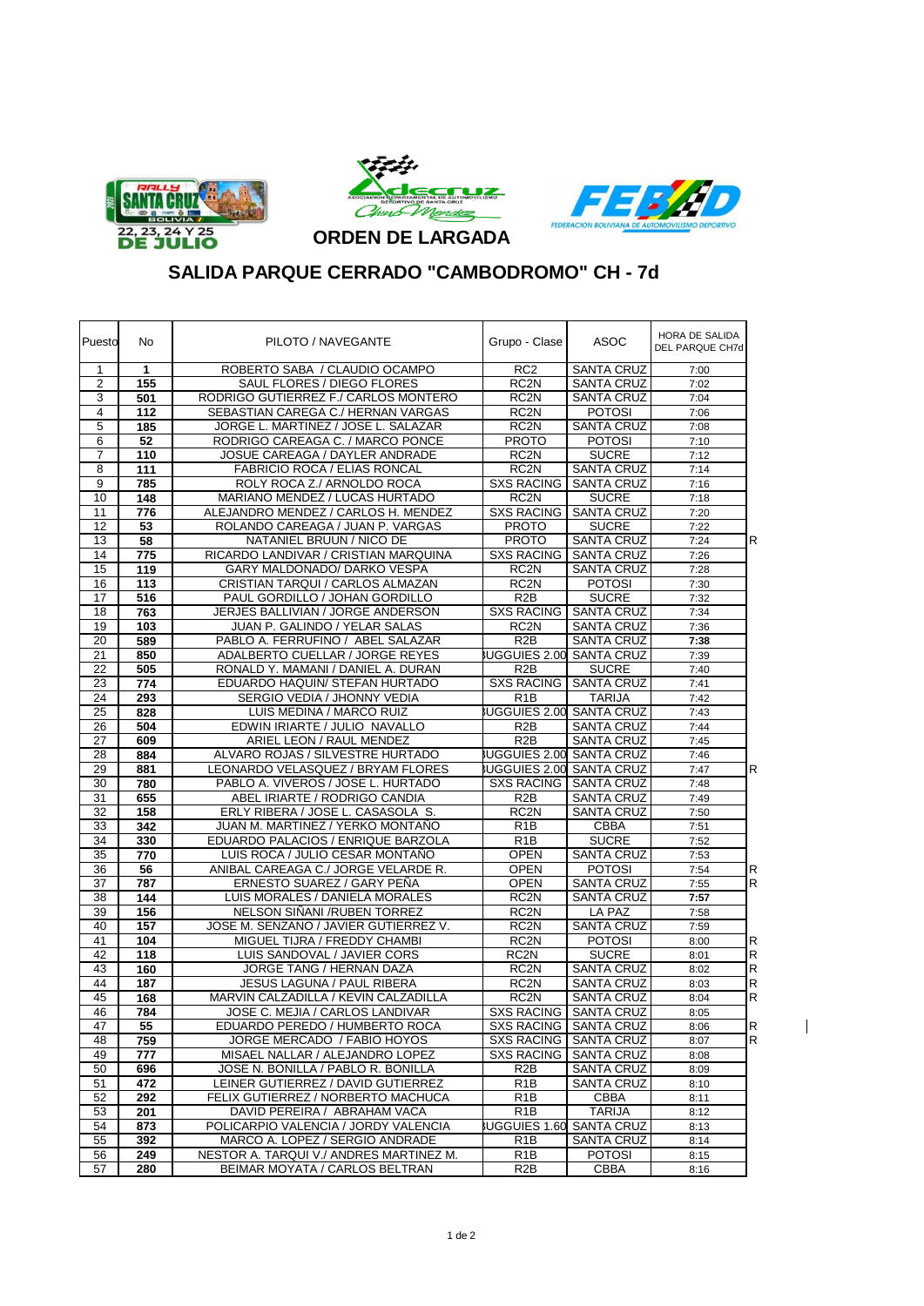





 $\overline{1}$ 

**SALIDA PARQUE CERRADO "CAMBODROMO" CH - 7d**

| Puesto         | No. | PILOTO / NAVEGANTE                      | Grupo - Clase                   | ASOC                            | HORA DE SALIDA<br>DEL PARQUE CH7d |
|----------------|-----|-----------------------------------------|---------------------------------|---------------------------------|-----------------------------------|
| $\mathbf{1}$   | 1   | ROBERTO SABA / CLAUDIO OCAMPO           | RC <sub>2</sub>                 | <b>SANTA CRUZ</b>               | 7:00                              |
| $\overline{2}$ | 155 | SAUL FLORES / DIEGO FLORES              | RC <sub>2N</sub>                | <b>SANTA CRUZ</b>               | 7:02                              |
| 3              | 501 | RODRIGO GUTIERREZ F./ CARLOS MONTERO    | RC <sub>2N</sub>                | <b>SANTA CRUZ</b>               | 7:04                              |
| $\overline{4}$ | 112 | SEBASTIAN CAREGA C./ HERNAN VARGAS      | RC <sub>2N</sub>                | <b>POTOSI</b>                   | 7:06                              |
| 5              | 185 | JORGE L. MARTINEZ / JOSE L. SALAZAR     | RC <sub>2N</sub>                | <b>SANTA CRUZ</b>               | 7:08                              |
| 6              | 52  | RODRIGO CAREAGA C. / MARCO PONCE        | <b>PROTO</b>                    | <b>POTOSI</b>                   | 7:10                              |
| $\overline{7}$ | 110 | JOSUE CAREAGA / DAYLER ANDRADE          | RC <sub>2N</sub>                | <b>SUCRE</b>                    | 7:12                              |
| 8              | 111 | <b>FABRICIO ROCA / ELIAS RONCAL</b>     | RC <sub>2N</sub>                | <b>SANTA CRUZ</b>               | 7:14                              |
| 9              | 785 | ROLY ROCA Z./ ARNOLDO ROCA              | <b>SXS RACING</b>               | <b>SANTA CRUZ</b>               | 7:16                              |
| 10             | 148 | MARIANO MENDEZ / LUCAS HURTADO          | RC <sub>2N</sub>                | <b>SUCRE</b>                    | 7:18                              |
| 11             | 776 | ALEJANDRO MENDEZ / CARLOS H. MENDEZ     | <b>SXS RACING</b>               | <b>SANTA CRUZ</b>               | 7:20                              |
| 12             | 53  | ROLANDO CAREAGA / JUAN P. VARGAS        | <b>PROTO</b>                    | <b>SUCRE</b>                    | 7:22                              |
| 13             | 58  | NATANIEL BRUUN / NICO DE                | <b>PROTO</b>                    | <b>SANTA CRUZ</b>               | R<br>7:24                         |
| 14             | 775 | RICARDO LANDIVAR / CRISTIAN MARQUINA    | <b>SXS RACING</b>               | <b>SANTA CRUZ</b>               | 7:26                              |
| 15             | 119 | GARY MALDONADO/ DARKO VESPA             | RC <sub>2N</sub>                | <b>SANTA CRUZ</b>               | 7:28                              |
| 16             | 113 | CRISTIAN TARQUI / CARLOS ALMAZAN        | RC <sub>2N</sub>                | <b>POTOSI</b>                   | 7:30                              |
| 17             | 516 | PAUL GORDILLO / JOHAN GORDILLO          | R <sub>2</sub> B                | <b>SUCRE</b>                    | 7:32                              |
| 18             | 763 | JERJES BALLIVIAN / JORGE ANDERSON       | <b>SXS RACING</b>               | <b>SANTA CRUZ</b>               | 7:34                              |
| 19             | 103 | JUAN P. GALINDO / YELAR SALAS           | RC <sub>2</sub> N               | <b>SANTA CRUZ</b>               | 7:36                              |
| 20             | 589 | PABLO A. FERRUFINO / ABEL SALAZAR       | R <sub>2</sub> B                | <b>SANTA CRUZ</b>               | 7:38                              |
| 21             | 850 | ADALBERTO CUELLAR / JORGE REYES         | <b>IUGGUIES 2.00</b>            | <b>SANTA CRUZ</b>               | 7:39                              |
| 22             | 505 | RONALD Y. MAMANI / DANIEL A. DURAN      | R <sub>2</sub> B                | <b>SUCRE</b>                    | 7:40                              |
| 23             | 774 | EDUARDO HAQUIN/ STEFAN HURTADO          | <b>SXS RACING</b>               | <b>SANTA CRUZ</b>               | 7:41                              |
| 24             | 293 | SERGIO VEDIA / JHONNY VEDIA             | R <sub>1</sub> B                | <b>TARIJA</b>                   | 7:42                              |
| 25             | 828 | LUIS MEDINA / MARCO RUIZ                | <b>IUGGUIES 2.00 SANTA CRUZ</b> |                                 | 7:43                              |
| 26             | 504 | EDWIN IRIARTE / JULIO NAVALLO           | R <sub>2</sub> B                | <b>SANTA CRUZ</b>               | 7:44                              |
| 27             | 609 | ARIEL LEON / RAUL MENDEZ                | R <sub>2</sub> B                | <b>SANTA CRUZ</b>               | 7:45                              |
| 28             | 884 | ALVARO ROJAS / SILVESTRE HURTADO        |                                 | UGGUIES 2.00 SANTA CRUZ         | 7:46                              |
| 29             | 881 | LEONARDO VELASQUEZ / BRYAM FLORES       |                                 | UGGUIES 2.00 SANTA CRUZ         | R<br>7:47                         |
| 30             | 780 | PABLO A. VIVEROS / JOSE L. HURTADO      | <b>SXS RACING</b>               | <b>SANTA CRUZ</b>               | 7:48                              |
| 31             | 655 | ABEL IRIARTE / RODRIGO CANDIA           | R <sub>2</sub> B                | <b>SANTA CRUZ</b>               | 7:49                              |
| 32             | 158 | ERLY RIBERA / JOSE L. CASASOLA S.       | RC <sub>2N</sub>                | <b>SANTA CRUZ</b>               | 7:50                              |
| 33             | 342 | JUAN M. MARTINEZ / YERKO MONTAÑO        | R <sub>1</sub> B                | <b>CBBA</b>                     | 7:51                              |
| 34             | 330 | EDUARDO PALACIOS / ENRIQUE BARZOLA      | R1B                             | <b>SUCRE</b>                    | 7:52                              |
| 35             | 770 | LUIS ROCA / JULIO CESAR MONTAÑO         | <b>OPEN</b>                     | <b>SANTA CRUZ</b>               | 7:53                              |
| 36             | 56  | ANIBAL CAREAGA C./ JORGE VELARDE R.     | <b>OPEN</b>                     | <b>POTOSI</b>                   | 7:54<br>R                         |
| 37             | 787 | ERNESTO SUAREZ / GARY PEÑA              | <b>OPEN</b>                     | <b>SANTA CRUZ</b>               | R<br>7:55                         |
| 38             | 144 | LUIS MORALES / DANIELA MORALES          | RC <sub>2</sub> N               | <b>SANTA CRUZ</b>               | 7:57                              |
| 39             | 156 | NELSON SIÑANI / RUBEN TORREZ            | RC <sub>2N</sub>                | LA PAZ                          | 7:58                              |
| 40             | 157 | JOSE M. SENZANO / JAVIER GUTIERREZ V.   | RC <sub>2N</sub>                | <b>SANTA CRUZ</b>               | 7:59                              |
| 41             | 104 | MIGUEL TIJRA / FREDDY CHAMBI            | RC <sub>2N</sub>                | <b>POTOSI</b>                   | R<br>8:00                         |
| 42             | 118 | LUIS SANDOVAL / JAVIER CORS             | RC <sub>2N</sub>                | <b>SUCRE</b>                    | R<br>8:01                         |
| 43             | 160 | JORGE TANG / HERNAN DAZA                | RC <sub>2</sub> N               | SANTA CRUZ                      | R<br>8:02                         |
| 44             | 187 | JESUS LAGUNA / PAUL RIBERA              | RC <sub>2N</sub>                | <b>SANTA CRUZ</b>               | R<br>8:03                         |
| 45             | 168 | MARVIN CALZADILLA / KEVIN CALZADILLA    | RC <sub>2</sub> N               | <b>SANTA CRUZ</b>               | R<br>8:04                         |
| 46             | 784 | JOSE C. MEJIA / CARI OS LANDIVAR        |                                 | SXS RACING SANTA CRUZ           | 8:05                              |
| 47             | 55  | EDUARDO PEREDO / HUMBERTO ROCA          |                                 | SXS RACING SANTA CRUZ           | R<br>8:06                         |
| 48             | 759 | JORGE MERCADO / FABIO HOYOS             | <b>SXS RACING</b>               | <b>SANTA CRUZ</b>               | R<br>8:07                         |
| 49             | 777 | MISAEL NALLAR / ALEJANDRO LOPEZ         | <b>SXS RACING</b>               | <b>SANTA CRUZ</b>               | 8:08                              |
| 50             | 696 | JOSE N. BONILLA / PABLO R. BONILLA      | R <sub>2</sub> B                | <b>SANTA CRUZ</b>               | 8:09                              |
| 51             | 472 | LEINER GUTIERREZ / DAVID GUTIERREZ      | R <sub>1</sub> B                | <b>SANTA CRUZ</b>               | 8:10                              |
| 52             | 292 | FELIX GUTIERREZ / NORBERTO MACHUCA      | R <sub>1</sub> B                | <b>CBBA</b>                     | 8:11                              |
| 53             | 201 | DAVID PEREIRA / ABRAHAM VACA            | R <sub>1</sub> B                | <b>TARIJA</b>                   | 8:12                              |
| 54             | 873 | POLICARPIO VALENCIA / JORDY VALENCIA    |                                 | <b>IUGGUIES 1.60 SANTA CRUZ</b> | 8:13                              |
| 55             | 392 | MARCO A. LOPEZ / SERGIO ANDRADE         | R <sub>1</sub> B                | <b>SANTA CRUZ</b>               | 8:14                              |
| 56             | 249 | NESTOR A. TARQUI V./ ANDRES MARTINEZ M. | R <sub>1</sub> B                | <b>POTOSI</b>                   | 8:15                              |
| 57             | 280 | BEIMAR MOYATA / CARLOS BELTRAN          | R <sub>2</sub> B                | CBBA                            | 8:16                              |